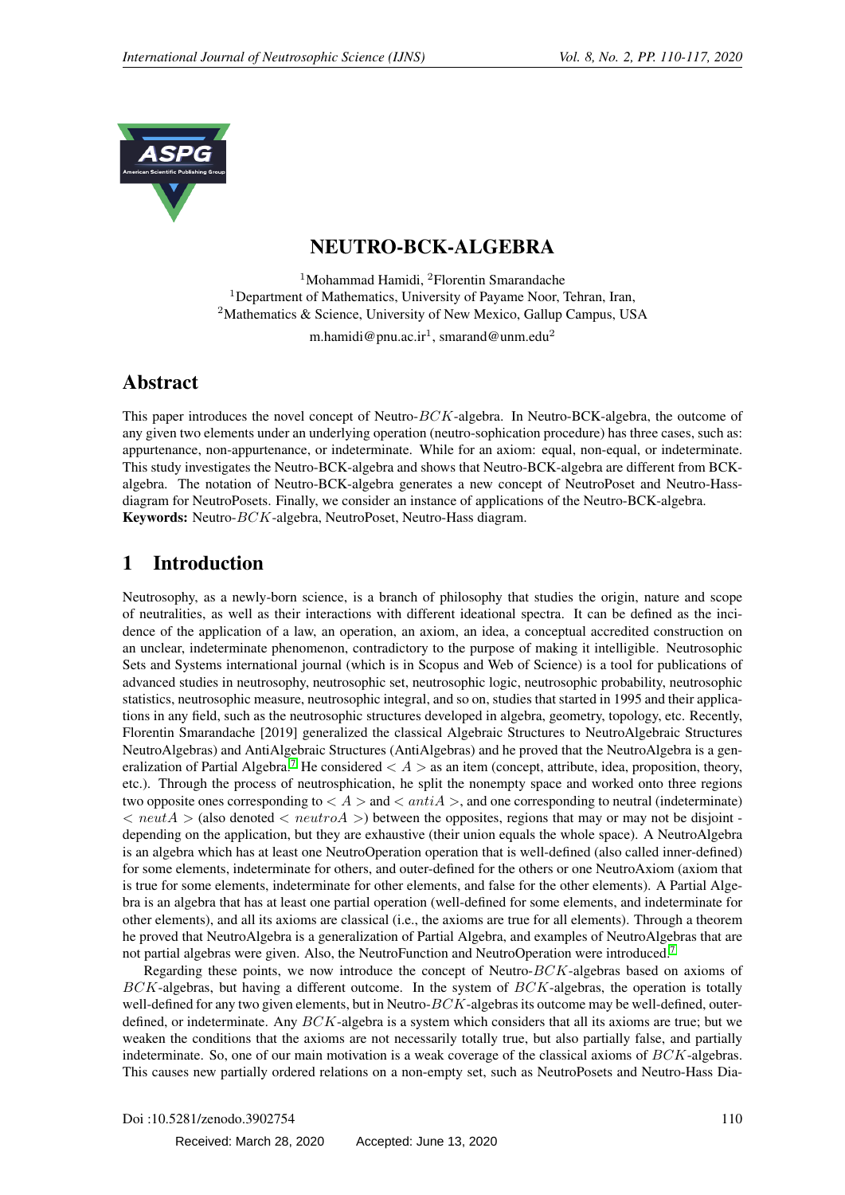

# NEUTRO-BCK-ALGEBRA

<sup>1</sup>Mohammad Hamidi, <sup>2</sup>Florentin Smarandache <sup>1</sup>Department of Mathematics, University of Payame Noor, Tehran, Iran, <sup>2</sup>Mathematics & Science, University of New Mexico, Gallup Campus, USA

m.hamidi@pnu.ac.ir $^1$ , smarand@unm.edu $^2$ 

### Abstract

This paper introduces the novel concept of Neutro- $BCK$ -algebra. In Neutro-BCK-algebra, the outcome of any given two elements under an underlying operation (neutro-sophication procedure) has three cases, such as: appurtenance, non-appurtenance, or indeterminate. While for an axiom: equal, non-equal, or indeterminate. This study investigates the Neutro-BCK-algebra and shows that Neutro-BCK-algebra are different from BCKalgebra. The notation of Neutro-BCK-algebra generates a new concept of NeutroPoset and Neutro-Hassdiagram for NeutroPosets. Finally, we consider an instance of applications of the Neutro-BCK-algebra. Keywords: Neutro-BCK-algebra, NeutroPoset, Neutro-Hass diagram.

## 1 Introduction

Neutrosophy, as a newly-born science, is a branch of philosophy that studies the origin, nature and scope of neutralities, as well as their interactions with different ideational spectra. It can be defined as the incidence of the application of a law, an operation, an axiom, an idea, a conceptual accredited construction on an unclear, indeterminate phenomenon, contradictory to the purpose of making it intelligible. Neutrosophic Sets and Systems international journal (which is in Scopus and Web of Science) is a tool for publications of advanced studies in neutrosophy, neutrosophic set, neutrosophic logic, neutrosophic probability, neutrosophic statistics, neutrosophic measure, neutrosophic integral, and so on, studies that started in 1995 and their applications in any field, such as the neutrosophic structures developed in algebra, geometry, topology, etc. Recently, Florentin Smarandache [2019] generalized the classical Algebraic Structures to NeutroAlgebraic Structures NeutroAlgebras) and AntiAlgebraic Structures (AntiAlgebras) and he proved that the NeutroAlgebra is a gen-eralization of Partial Algebra.<sup>[7](#page-7-0)</sup> He considered  $\langle A \rangle$  as an item (concept, attribute, idea, proposition, theory, etc.). Through the process of neutrosphication, he split the nonempty space and worked onto three regions two opposite ones corresponding to  $\langle A \rangle$  and  $\langle antiA \rangle$ , and one corresponding to neutral (indeterminate)  $\langle$  neutA > (also denoted  $\langle$  neutroA > between the opposites, regions that may or may not be disjoint depending on the application, but they are exhaustive (their union equals the whole space). A NeutroAlgebra is an algebra which has at least one NeutroOperation operation that is well-defined (also called inner-defined) for some elements, indeterminate for others, and outer-defined for the others or one NeutroAxiom (axiom that is true for some elements, indeterminate for other elements, and false for the other elements). A Partial Algebra is an algebra that has at least one partial operation (well-defined for some elements, and indeterminate for other elements), and all its axioms are classical (i.e., the axioms are true for all elements). Through a theorem he proved that NeutroAlgebra is a generalization of Partial Algebra, and examples of NeutroAlgebras that are not partial algebras were given. Also, the NeutroFunction and NeutroOperation were introduced.[7](#page-7-0)

Regarding these points, we now introduce the concept of Neutro- $BCK$ -algebras based on axioms of  $BCK$ -algebras, but having a different outcome. In the system of  $BCK$ -algebras, the operation is totally well-defined for any two given elements, but in Neutro- $BCK$ -algebras its outcome may be well-defined, outerdefined, or indeterminate. Any BCK-algebra is a system which considers that all its axioms are true; but we weaken the conditions that the axioms are not necessarily totally true, but also partially false, and partially indeterminate. So, one of our main motivation is a weak coverage of the classical axioms of BCK-algebras. This causes new partially ordered relations on a non-empty set, such as NeutroPosets and Neutro-Hass Dia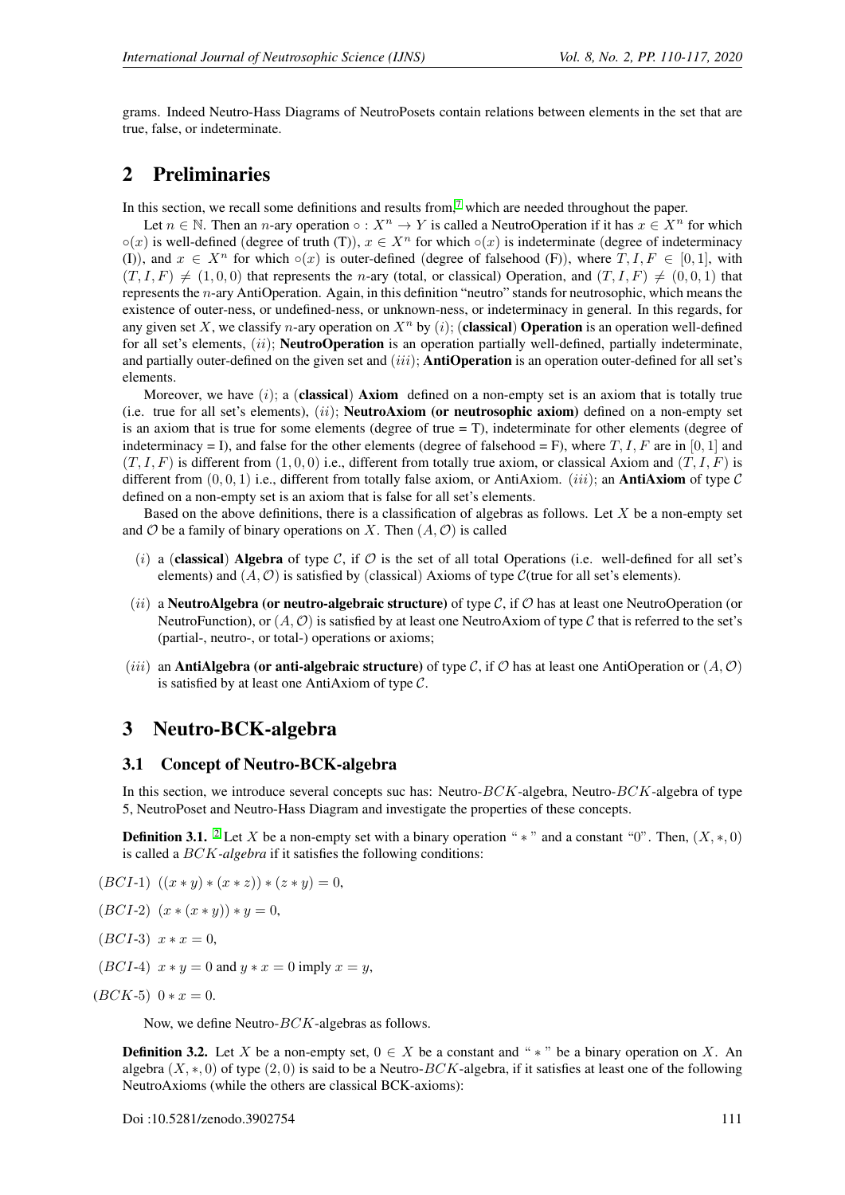grams. Indeed Neutro-Hass Diagrams of NeutroPosets contain relations between elements in the set that are true, false, or indeterminate.

### 2 Preliminaries

In this section, we recall some definitions and results from,<sup>[7](#page-7-0)</sup> which are needed throughout the paper.

Let  $n \in \mathbb{N}$ . Then an *n*-ary operation  $\circ : X^n \to Y$  is called a NeutroOperation if it has  $x \in X^n$  for which  $\circ(x)$  is well-defined (degree of truth (T)),  $x \in X^n$  for which  $\circ(x)$  is indeterminate (degree of indeterminacy (I)), and  $x \in X^n$  for which ∘(x) is outer-defined (degree of falsehood (F)), where  $T, I, F \in [0, 1]$ , with  $(T, I, F) \neq (1, 0, 0)$  that represents the n-ary (total, or classical) Operation, and  $(T, I, F) \neq (0, 0, 1)$  that represents the n-ary AntiOperation. Again, in this definition "neutro" stands for neutrosophic, which means the existence of outer-ness, or undefined-ness, or unknown-ness, or indeterminacy in general. In this regards, for any given set X, we classify n-ary operation on  $X^n$  by (i); (classical) Operation is an operation well-defined for all set's elements,  $(ii)$ ; **NeutroOperation** is an operation partially well-defined, partially indeterminate, and partially outer-defined on the given set and  $(iii)$ ; **AntiOperation** is an operation outer-defined for all set's elements.

Moreover, we have  $(i)$ ; a (classical) Axiom defined on a non-empty set is an axiom that is totally true (i.e. true for all set's elements),  $(ii)$ ; **NeutroAxiom (or neutrosophic axiom)** defined on a non-empty set is an axiom that is true for some elements (degree of true  $= T$ ), indeterminate for other elements (degree of indeterminacy = I), and false for the other elements (degree of falsehood = F), where  $T, I, F$  are in [0, 1] and  $(T, I, F)$  is different from  $(1, 0, 0)$  i.e., different from totally true axiom, or classical Axiom and  $(T, I, F)$  is different from  $(0, 0, 1)$  i.e., different from totally false axiom, or AntiAxiom. (*iii*); an **AntiAxiom** of type C defined on a non-empty set is an axiom that is false for all set's elements.

Based on the above definitions, there is a classification of algebras as follows. Let  $X$  be a non-empty set and  $O$  be a family of binary operations on X. Then  $(A, O)$  is called

- (i) a (classical) Algebra of type C, if  $\mathcal O$  is the set of all total Operations (i.e. well-defined for all set's elements) and  $(A, O)$  is satisfied by (classical) Axioms of type C(true for all set's elements).
- (ii) a NeutroAlgebra (or neutro-algebraic structure) of type  $C$ , if  $O$  has at least one NeutroOperation (or NeutroFunction), or  $(A, O)$  is satisfied by at least one NeutroAxiom of type C that is referred to the set's (partial-, neutro-, or total-) operations or axioms;
- (*iii*) an **AntiAlgebra (or anti-algebraic structure)** of type C, if O has at least one AntiOperation or  $(A, O)$ is satisfied by at least one AntiAxiom of type  $C$ .

### 3 Neutro-BCK-algebra

#### 3.1 Concept of Neutro-BCK-algebra

In this section, we introduce several concepts suc has: Neutro-BCK-algebra, Neutro-BCK-algebra of type 5, NeutroPoset and Neutro-Hass Diagram and investigate the properties of these concepts.

**Definition 3.1.** <sup>[2](#page-7-1)</sup> Let X be a non-empty set with a binary operation " $*$ " and a constant "0". Then,  $(X, *, 0)$ is called a BCK*-algebra* if it satisfies the following conditions:

$$
(BCI-1) ((x * y) * (x * z)) * (z * y) = 0,
$$

$$
(BCI-2) (x * (x * y)) * y = 0,
$$

- $(BCI-3)$   $x * x = 0$ ,
- $(BCI-4)$   $x * y = 0$  and  $y * x = 0$  imply  $x = y$ ,

 $(BCK-5)$  0 \*  $x=0$ .

Now, we define Neutro-BCK-algebras as follows.

**Definition 3.2.** Let X be a non-empty set,  $0 \in X$  be a constant and " \* " be a binary operation on X. An algebra  $(X, *, 0)$  of type  $(2, 0)$  is said to be a Neutro-BCK-algebra, if it satisfies at least one of the following NeutroAxioms (while the others are classical BCK-axioms):

Doi :10.5281/zenodo.3902754 111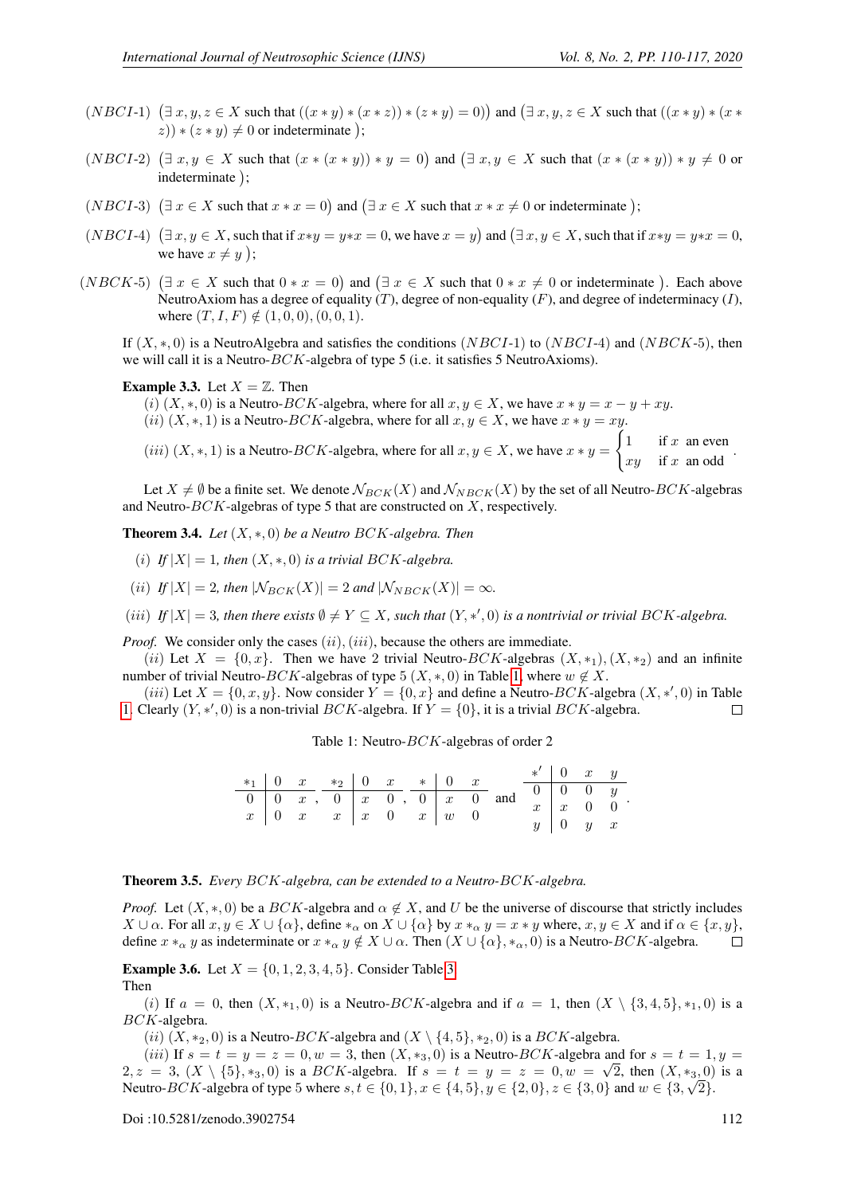- $(NECI-1)$   $(\exists x, y, z \in X \text{ such that } ((x * y) * (x * z)) * (z * y) = 0))$  and  $(\exists x, y, z \in X \text{ such that } ((x * y) * (x * y) = 0))$  $(z)$  \*  $(z * y) \neq 0$  or indeterminate);
- $(NECI-2)$   $(\exists x, y \in X \text{ such that } (x * (x * y)) * y = 0)$  and  $(\exists x, y \in X \text{ such that } (x * (x * y)) * y \neq 0 \text{ or } 0)$ indeterminate);
- (*NBCI*-3)  $(\exists x \in X \text{ such that } x * x = 0)$  and  $(\exists x \in X \text{ such that } x * x \neq 0 \text{ or indeterminate})$ ;
- $(NBCI-4)$   $(\exists x, y \in X,$  such that if  $x*y = y*x = 0$ , we have  $x = y$  and  $(\exists x, y \in X,$  such that if  $x*y = y*x = 0$ , we have  $x \neq y$  );
- $(NBCK-5)$   $(\exists x \in X \text{ such that } 0 * x = 0)$  and  $(\exists x \in X \text{ such that } 0 * x \neq 0 \text{ or indeterminate})$ . Each above NeutroAxiom has a degree of equality  $(T)$ , degree of non-equality  $(F)$ , and degree of indeterminacy  $(I)$ , where  $(T, I, F) \notin (1, 0, 0), (0, 0, 1).$

If  $(X, *, 0)$  is a NeutroAlgebra and satisfies the conditions  $(NBCI-1)$  to  $(NBCI-4)$  and  $(NBCK-5)$ , then we will call it is a Neutro-BCK-algebra of type 5 (i.e. it satisfies 5 NeutroAxioms).

**Example 3.3.** Let  $X = \mathbb{Z}$ . Then

(i)  $(X,*,0)$  is a Neutro-BCK-algebra, where for all  $x, y \in X$ , we have  $x * y = x - y + xy$ . (ii)  $(X,*,1)$  is a Neutro-BCK-algebra, where for all  $x, y \in X$ , we have  $x * y = xy$ .

 $(iii)$   $(X,*,1)$  is a Neutro-*BCK*-algebra, where for all  $x, y \in X$ , we have  $x * y =$  $\int 1$  if x an even  $xy$  if x an odd .

Let  $X \neq \emptyset$  be a finite set. We denote  $\mathcal{N}_{BCK}(X)$  and  $\mathcal{N}_{NBECK}(X)$  by the set of all Neutro-BCK-algebras and Neutro- $BCK$ -algebras of type 5 that are constructed on  $X$ , respectively.

<span id="page-2-2"></span>Theorem 3.4. *Let* (X, ∗, 0) *be a Neutro* BCK*-algebra. Then*

- (i) If  $|X| = 1$ , then  $(X, \ast, 0)$  is a trivial BCK-algebra.
- (*ii*) *If*  $|X| = 2$ *, then*  $|\mathcal{N}_{BCK}(X)| = 2$  *and*  $|\mathcal{N}_{NBCK}(X)| = \infty$ *.*
- (*iii*) If  $|X| = 3$ , then there exists  $\emptyset \neq Y \subseteq X$ , such that  $(Y, *, 0)$  is a nontrivial or trivial BCK-algebra.

*Proof.* We consider only the cases  $(ii)$ ,  $(iii)$ , because the others are immediate.

(ii) Let  $X = \{0, x\}$ . Then we have 2 trivial Neutro-BCK-algebras  $(X, *_1), (X, *_2)$  and an infinite number of trivial Neutro-BCK-algebras of type 5 (X,  $*, 0$ ) in Table [1,](#page-2-0) where  $w \notin X$ .

<span id="page-2-0"></span>(iii) Let  $X = \{0, x, y\}$ . Now consider  $Y = \{0, x\}$  and define a Neutro-BCK-algebra  $(X, *, 0)$  in Table [1.](#page-2-0) Clearly  $(Y, *, ', 0)$  is a non-trivial  $BCK$ -algebra. If  $Y = \{0\}$ , it is a trivial  $BCK$ -algebra.  $\Box$ 

Table 1: Neutro-BCK-algebras of order 2

|  |  |  |  | $\begin{array}{c cccccc} *_1 & 0 & x & *_2 & 0 & x & * & 0 & x & * & 0 & x & y \\ \hline 0 & 0 & x & , & 0 & x & 0 & , & 0 & x & 0 & \text{and} & \begin{array}{c cccccc} *' & 0 & x & y & \\ \hline 0 & 0 & x & , & x & x & 0 & x & 0 & 0 & y \\ x & 0 & x & x & x & 0 & x & w & 0 & x & 0 & y \end{array}. \end{array}$ |  |                                               |
|--|--|--|--|---------------------------------------------------------------------------------------------------------------------------------------------------------------------------------------------------------------------------------------------------------------------------------------------------------------------------|--|-----------------------------------------------|
|  |  |  |  |                                                                                                                                                                                                                                                                                                                           |  |                                               |
|  |  |  |  |                                                                                                                                                                                                                                                                                                                           |  |                                               |
|  |  |  |  |                                                                                                                                                                                                                                                                                                                           |  |                                               |
|  |  |  |  |                                                                                                                                                                                                                                                                                                                           |  | $y \begin{array}{ ccc} 0 & y & x \end{array}$ |

### Theorem 3.5. *Every* BCK*-algebra, can be extended to a Neutro-*BCK*-algebra.*

*Proof.* Let  $(X, *, 0)$  be a BCK-algebra and  $\alpha \notin X$ , and U be the universe of discourse that strictly includes  $X \cup \alpha$ . For all  $x, y \in X \cup \{\alpha\}$ , define  $*_\alpha$  on  $X \cup \{\alpha\}$  by  $x *_\alpha y = x * y$  where,  $x, y \in X$  and if  $\alpha \in \{x, y\}$ , define  $x *_{\alpha} y$  as indeterminate or  $x *_{\alpha} y \notin X \cup \alpha$ . Then  $(X \cup {\alpha}, *_{\alpha}, 0)$  is a Neutro-BCK-algebra.  $\Box$ 

<span id="page-2-1"></span>**Example [3.](#page-4-0)6.** Let  $X = \{0, 1, 2, 3, 4, 5\}$ . Consider Table 3.

#### Then

(i) If  $a = 0$ , then  $(X, *_1, 0)$  is a Neutro-BCK-algebra and if  $a = 1$ , then  $(X \setminus \{3, 4, 5\}, *_1, 0)$  is a BCK-algebra.

(ii)  $(X, *_{2}, 0)$  is a Neutro- $BCK$ -algebra and  $(X \setminus \{4, 5\}, *_{2}, 0)$  is a  $BCK$ -algebra.

(*iii*) If  $s = t = y = z = 0, w = 3$ , then  $(X, *_{3}, 0)$  is a Neutro-BCK-algebra and for  $s = t = 1, y = 0$  $2, z = 3, (X \setminus \{5\}, *_3, 0)$  is a BCK-algebra. If  $s = t = y = z = 0, w = \sqrt{2}$ , then  $(X, *_3, 0)$  is a Neutro-BCK-algebra of type 5 where  $s, t \in \{0, 1\}, x \in \{4, 5\}, y \in \{2, 0\}, z \in \{3, 0\}$  and  $w \in \{3, \sqrt{2}\}.$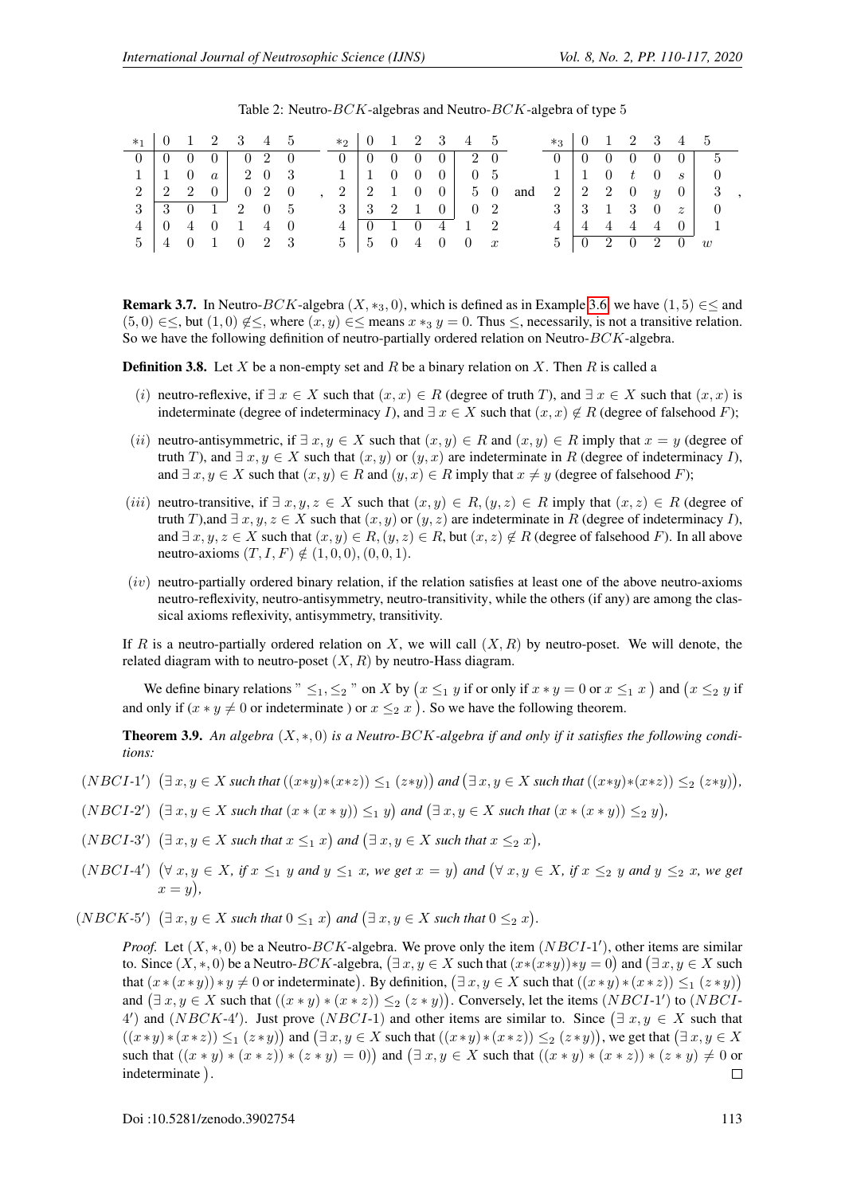|  |  | $*_{1}$   0   1   2   3   4   5                    |  |  |  |  | $*_{2}$   0   1   2   3   4   5   |  | $*_{3}$   0   1   2   3   4   5 |  |  |                                                                 |                                                                                                                        |  |
|--|--|----------------------------------------------------|--|--|--|--|-----------------------------------|--|---------------------------------|--|--|-----------------------------------------------------------------|------------------------------------------------------------------------------------------------------------------------|--|
|  |  | $0 \t 0 \t 0 \t 0 \t 0 \t 2 \t 0$                  |  |  |  |  |                                   |  |                                 |  |  |                                                                 |                                                                                                                        |  |
|  |  | $1 \mid 1 \quad 0 \quad a \mid 2 \quad 0 \quad 3$  |  |  |  |  |                                   |  |                                 |  |  |                                                                 |                                                                                                                        |  |
|  |  | $2 \mid 2 \mid 2 \mid 0 \mid 0 \mid 2 \mid 0$      |  |  |  |  |                                   |  |                                 |  |  |                                                                 | $2 \mid 2 \quad 1 \quad 0 \quad 0 \mid 5 \quad 0 \text{ and } 2 \mid 2 \quad 2 \quad 0 \quad y \quad 0 \mid 3 \quad ,$ |  |
|  |  | $3 \mid 3 \quad 0 \quad 1 \quad 2 \quad 0 \quad 5$ |  |  |  |  |                                   |  |                                 |  |  |                                                                 |                                                                                                                        |  |
|  |  | $4 \t 0 \t 4 \t 0 \t 1 \t 4 \t 0$                  |  |  |  |  | $4 \t 0 \t 1 \t 0 \t 4 \t 1 \t 2$ |  |                                 |  |  |                                                                 | $4 \mid 4 \mid 4 \mid 4 \mid 4 \mid 0 \mid 1$                                                                          |  |
|  |  | $5 \t 4 \t 0 \t 1 \t 0 \t 2 \t 3$                  |  |  |  |  | $5 \t 5 \t 0 \t 4 \t 0 \t 0 \t x$ |  |                                 |  |  | $5 \begin{array}{cccccc} 5 & 0 & 2 & 0 & 2 & 0 & w \end{array}$ |                                                                                                                        |  |

| Table 2: Neutro- $BCK$ -algebras and Neutro- $BCK$ -algebra of type 5 |  |
|-----------------------------------------------------------------------|--|
|-----------------------------------------------------------------------|--|

<span id="page-3-0"></span>**Remark 3.7.** In Neutro-BCK-algebra  $(X, *_{3}, 0)$ , which is defined as in Example [3.6,](#page-2-1) we have  $(1, 5) \in \leq$  and  $(5, 0) \in \le$ , but  $(1, 0) \notin \le$ , where  $(x, y) \in \le$  means  $x *_{3} y = 0$ . Thus  $\le$ , necessarily, is not a transitive relation. So we have the following definition of neutro-partially ordered relation on Neutro-BCK-algebra.

**Definition 3.8.** Let X be a non-empty set and R be a binary relation on X. Then R is called a

- (i) neutro-reflexive, if  $\exists x \in X$  such that  $(x, x) \in R$  (degree of truth T), and  $\exists x \in X$  such that  $(x, x)$  is indeterminate (degree of indeterminacy I), and  $\exists x \in X$  such that  $(x, x) \notin R$  (degree of falsehood F);
- (ii) neutro-antisymmetric, if  $\exists x, y \in X$  such that  $(x, y) \in R$  and  $(x, y) \in R$  imply that  $x = y$  (degree of truth T), and  $\exists x, y \in X$  such that  $(x, y)$  or  $(y, x)$  are indeterminate in R (degree of indeterminacy I), and  $\exists x, y \in X$  such that  $(x, y) \in R$  and  $(y, x) \in R$  imply that  $x \neq y$  (degree of falsehood F);
- (iii) neutro-transitive, if  $\exists x, y, z \in X$  such that  $(x, y) \in R$ ,  $(y, z) \in R$  imply that  $(x, z) \in R$  (degree of truth T),and  $\exists x, y, z \in X$  such that  $(x, y)$  or  $(y, z)$  are indeterminate in R (degree of indeterminacy I), and  $\exists x, y, z \in X$  such that  $(x, y) \in R$ ,  $(y, z) \in R$ , but  $(x, z) \notin R$  (degree of falsehood F). In all above neutro-axioms  $(T, I, F) \notin (1, 0, 0), (0, 0, 1).$
- $(iv)$  neutro-partially ordered binary relation, if the relation satisfies at least one of the above neutro-axioms neutro-reflexivity, neutro-antisymmetry, neutro-transitivity, while the others (if any) are among the classical axioms reflexivity, antisymmetry, transitivity.

If R is a neutro-partially ordered relation on X, we will call  $(X, R)$  by neutro-poset. We will denote, the related diagram with to neutro-poset  $(X, R)$  by neutro-Hass diagram.

We define binary relations "  $\leq_1, \leq_2$  " on X by  $(x \leq_1 y)$  if or only if  $x * y = 0$  or  $x \leq_1 x$  and  $(x \leq_2 y)$  if and only if  $(x * y \neq 0$  or indeterminate ) or  $x \leq_2 x$  ). So we have the following theorem.

Theorem 3.9. *An algebra* (X, ∗, 0) *is a Neutro-*BCK*-algebra if and only if it satisfies the following conditions:*

- $(NECI-1')$   $(\exists x, y \in X \text{ such that } ((x*y)*(x*z)) \leq_1 (z*y))$  and  $(\exists x, y \in X \text{ such that } ((x*y)*(x*z)) \leq_2 (z*y)),$
- $(NECI-2')$   $(\exists x, y \in X \text{ such that } (x * (x * y)) \leq_1 y)$  and  $(\exists x, y \in X \text{ such that } (x * (x * y)) \leq_2 y)$ ,
- $(NECI-3')$   $(\exists x, y \in X \text{ such that } x \leq_1 x)$  and  $(\exists x, y \in X \text{ such that } x \leq_2 x)$ ,
- $(NBCI-4')$   $(\forall x, y \in X$ , if  $x \leq_1 y$  and  $y \leq_1 x$ , we get  $x = y$ ) and  $(\forall x, y \in X$ , if  $x \leq_2 y$  and  $y \leq_2 x$ , we get  $x = y$ ,
- $(NBCK-5')$   $(\exists x, y \in X \text{ such that } 0 \leq_1 x)$  and  $(\exists x, y \in X \text{ such that } 0 \leq_2 x)$ .

*Proof.* Let  $(X, * , 0)$  be a Neutro- $BCK$ -algebra. We prove only the item  $(NBCI-1')$ , other items are similar to. Since  $(X,*,0)$  be a Neutro- $BCK$ -algebra,  $(\exists x, y \in X$  such that  $(x*(x*y))*y=0)$  and  $(\exists x, y \in X$  such that  $(x*(x*y))*y\neq 0$  or indeterminate). By definition,  $(\exists x, y \in X \text{ such that } ((x*y)*(x*z)) \leq_1 (z*y))$ and  $(\exists x, y \in X \text{ such that } ((x * y) * (x * z)) \leq (z * y))$ . Conversely, let the items  $(NBCI-1')$  to  $(NBCI-1')$ 4') and  $(NBCK-4')$ . Just prove  $(NBCI-1)$  and other items are similar to. Since  $(\exists x, y \in X$  such that  $((x*y)*(x*z)) \leq_1 (z*y)$  and  $(\exists x, y \in X \text{ such that } ((x*y)*(x*z)) \leq_2 (z*y))$ , we get that  $(\exists x, y \in X$ such that  $((x * y) * (x * z)) * (z * y) = 0)$  and  $(\exists x, y \in X$  such that  $((x * y) * (x * z)) * (z * y) \neq 0$  or indeterminate .  $\Box$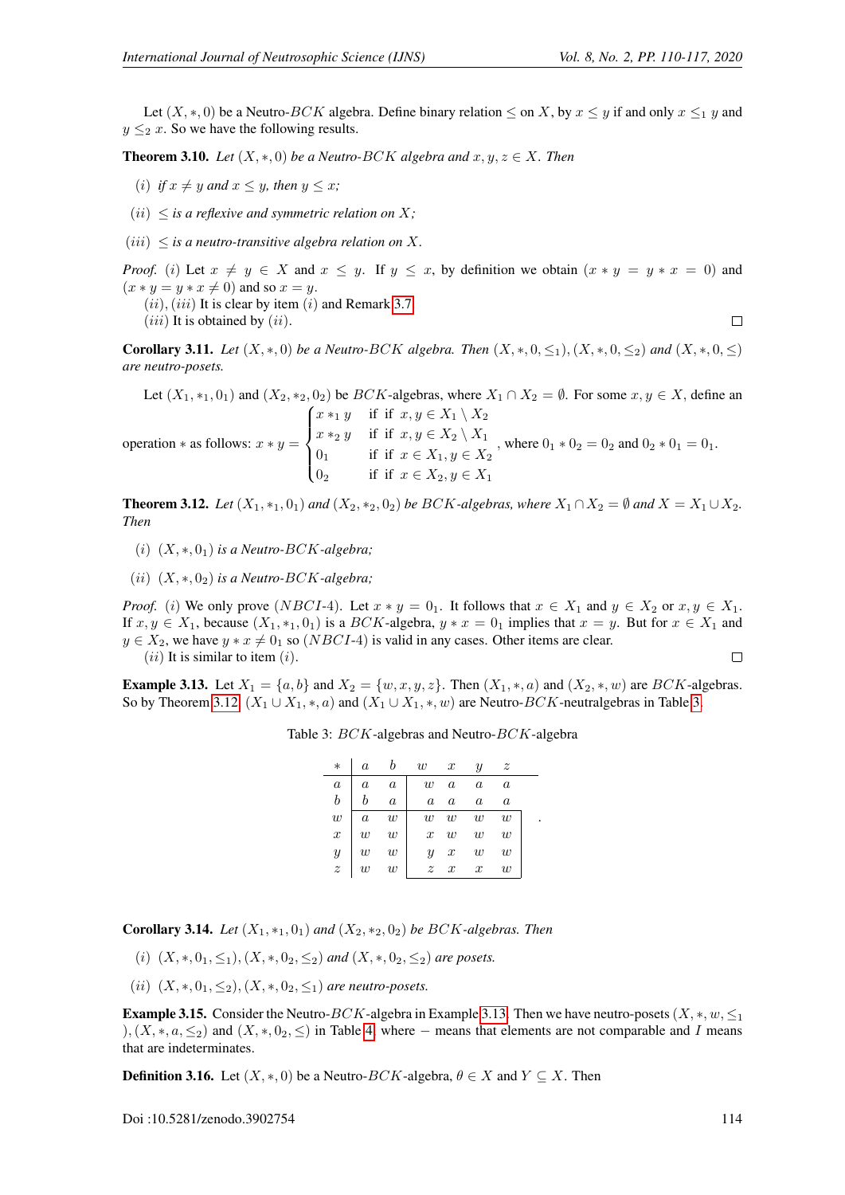Let  $(X, * , 0)$  be a Neutro-BCK algebra. Define binary relation  $\leq$  on X, by  $x \leq y$  if and only  $x \leq_1 y$  and  $y \leq_2 x$ . So we have the following results.

**Theorem 3.10.** *Let*  $(X, *, 0)$  *be a Neutro-BCK algebra and*  $x, y, z \in X$ *. Then* 

- (*i*) *if*  $x \neq y$  *and*  $x \leq y$ *, then*  $y \leq x$ *;*
- $(iii)$   $\leq$  *is a reflexive and symmetric relation on* X;
- $(iii)$   $\leq$  *is a neutro-transitive algebra relation on* X.

*Proof.* (i) Let  $x \neq y \in X$  and  $x \leq y$ . If  $y \leq x$ , by definition we obtain  $(x * y = y * x = 0)$  and  $(x * y = y * x \neq 0)$  and so  $x = y$ .

 $(ii)$ ,  $(iii)$  It is clear by item  $(i)$  and Remark [3.7.](#page-3-0)  $(iii)$  It is obtained by  $(ii)$ .

 $\Box$ 

<span id="page-4-3"></span>**Corollary 3.11.** *Let*  $(X, *, 0)$  *be a Neutro-BCK algebra. Then*  $(X, *, 0, ≤1)$ ,  $(X, *, 0, ≤2)$  *and*  $(X, *, 0, ≤)$ *are neutro-posets.*

Let  $(X_1, *_1, 0_1)$  and  $(X_2, *_2, 0_2)$  be *BCK*-algebras, where  $X_1 \cap X_2 = \emptyset$ . For some  $x, y \in X$ , define an  $\sqrt{ }$  $\int$  $x *_{1} y$  if if  $x, y \in X_{1} \setminus X_{2}$  $x *_{2} y$  if if  $x, y \in X_{2} \setminus X_{1}$ 

operation  $*$  as follows:  $x * y =$  $\overline{\mathcal{L}}$ 0<sub>1</sub> if if  $x \in X_1, y \in X_2$ 0<sub>2</sub> if if  $x \in X_2, y \in X_1$ , where  $0_1 * 0_2 = 0_2$  and  $0_2 * 0_1 = 0_1$ .

<span id="page-4-1"></span>**Theorem 3.12.** *Let*  $(X_1, *_1, 0_1)$  *and*  $(X_2, *_2, 0_2)$  *be BCK-algebras, where*  $X_1 \cap X_2 = \emptyset$  *and*  $X = X_1 \cup X_2$ . *Then*

- (i) (X, ∗, 01) *is a Neutro-*BCK*-algebra;*
- (ii) (X, ∗, 02) *is a Neutro-*BCK*-algebra;*

*Proof.* (i) We only prove (NBCI-4). Let  $x * y = 0<sub>1</sub>$ . It follows that  $x \in X<sub>1</sub>$  and  $y \in X<sub>2</sub>$  or  $x, y \in X<sub>1</sub>$ . If  $x, y \in X_1$ , because  $(X_1, *_1, 0_1)$  is a  $BCK$ -algebra,  $y * x = 0_1$  implies that  $x = y$ . But for  $x \in X_1$  and  $y \in X_2$ , we have  $y * x \neq 0_1$  so  $(NBCI-4)$  is valid in any cases. Other items are clear.  $(ii)$  It is similar to item  $(i)$ .  $\Box$ 

<span id="page-4-2"></span><span id="page-4-0"></span>**Example 3.13.** Let  $X_1 = \{a, b\}$  and  $X_2 = \{w, x, y, z\}$ . Then  $(X_1, *, a)$  and  $(X_2, *, w)$  are BCK-algebras. So by Theorem [3.12,](#page-4-1)  $(X_1 \cup X_1, \ast, a)$  and  $(X_1 \cup X_1, \ast, w)$  are Neutro-BCK-neutralgebras in Table [3.](#page-4-0)

| $\ast$           | $\it a$          |                  | $\,w$            | $\boldsymbol{x}$ | и                | $\widetilde{\mathcal{Z}}$ |  |
|------------------|------------------|------------------|------------------|------------------|------------------|---------------------------|--|
| $\boldsymbol{a}$ | $\it a$          | $\boldsymbol{a}$ | $\boldsymbol{w}$ | $\boldsymbol{a}$ | $\boldsymbol{a}$ | $\boldsymbol{a}$          |  |
| b                |                  | $\alpha$         | $\it a$          | $\it a$          | $\boldsymbol{a}$ | $\alpha$                  |  |
| $\boldsymbol{w}$ | $\it a$          | $\boldsymbol{w}$ | w                | $\boldsymbol{w}$ | $\boldsymbol{w}$ | $\boldsymbol{w}$          |  |
| $\boldsymbol{x}$ | $\boldsymbol{w}$ | $\boldsymbol{w}$ | $\boldsymbol{x}$ | $\boldsymbol{w}$ | $\boldsymbol{w}$ | $\boldsymbol{w}$          |  |
| $\boldsymbol{y}$ | $\boldsymbol{w}$ | $\boldsymbol{w}$ | Y                | $\boldsymbol{x}$ | $\boldsymbol{w}$ | $\boldsymbol{w}$          |  |
| $\boldsymbol{z}$ | $\boldsymbol{w}$ | w                | $\tilde{z}$      | $\boldsymbol{x}$ | $\boldsymbol{x}$ | $\boldsymbol{w}$          |  |

.

Table 3: BCK-algebras and Neutro-BCK-algebra

**Corollary 3.14.** *Let*  $(X_1, *_1, 0_1)$  *and*  $(X_2, *_2, 0_2)$  *be BCK-algebras. Then* 

- (i)  $(X,*,0_1,\leq_1),(X,*,0_2,\leq_2)$  *and*  $(X,*,0_2,\leq_2)$  *are posets.*
- (*ii*)  $(X, *, 0<sub>1</sub>, <sup>≤</sup><sub>2</sub>), (X, *, 0<sub>2</sub>, <sup>≤</sup><sub>1</sub>)$  *are neutro-posets.*

**Example 3.15.** Consider the Neutro-BCK-algebra in Example [3.13.](#page-4-2) Then we have neutro-posets  $(X, *, w, \leq_1)$ ),  $(X, *, a, \leq_2)$  and  $(X, *, 0, \leq)$  in Table [4,](#page-5-0) where – means that elements are not comparable and I means that are indeterminates.

**Definition 3.16.** Let  $(X, *, 0)$  be a Neutro-BCK-algebra,  $\theta \in X$  and  $Y \subseteq X$ . Then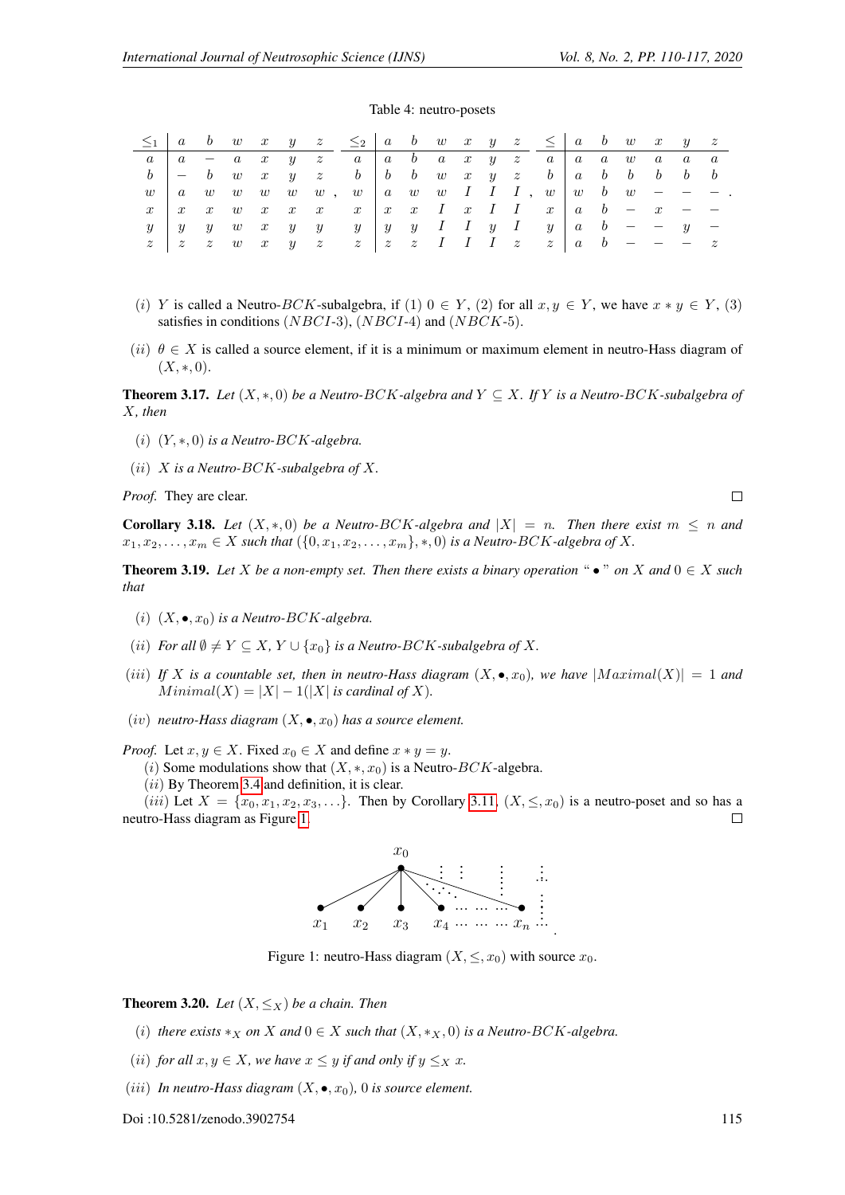#### Table 4: neutro-posets

<span id="page-5-0"></span>

|  |                                    |  | $a \mid a - a \mid x \mid y \mid z \mid a \mid a \mid b \mid a \mid x \mid y \mid z$                                |   |  |                                             |  | $a \quad a \quad a \quad w$                                                                               |  |  | $a \quad a \quad a$ |  |
|--|------------------------------------|--|---------------------------------------------------------------------------------------------------------------------|---|--|---------------------------------------------|--|-----------------------------------------------------------------------------------------------------------|--|--|---------------------|--|
|  |                                    |  | $b$ $-$ b $w$ x $y$ z $b$ $ $ b $b$ $w$ x $y$ z $b$ $ $ a $b$ b $b$ b $b$                                           |   |  |                                             |  |                                                                                                           |  |  |                     |  |
|  | $w \mid a \quad w \quad w \quad w$ |  | $w \quad w$ ,                                                                                                       |   |  |                                             |  | $w \mid a \quad w \quad w \quad I \quad I \quad I \quad , \quad w \mid w \quad b \quad w \quad - \quad -$ |  |  |                     |  |
|  |                                    |  | $x$ x w x x x x x x x $I$ x $I$ x $I$ x $ a$ b $-$ x $-$                                                            |   |  |                                             |  |                                                                                                           |  |  |                     |  |
|  | $y \mid y \mid y \mid w \mid x$    |  | $y \quad y$                                                                                                         | y |  | $y \quad y \quad I \quad I \quad y \quad I$ |  | $y \begin{bmatrix} a & b & - & - & y & - \end{bmatrix}$                                                   |  |  |                     |  |
|  | $z \mid z \mid z \mid w \mid x$    |  | $y \quad z \quad z \quad z \quad z \quad I \quad I \quad I \quad z \quad z \quad a \quad b \quad - \quad - \quad z$ |   |  |                                             |  |                                                                                                           |  |  |                     |  |

- (i) Y is called a Neutro-BCK-subalgebra, if (1)  $0 \in Y$ , (2) for all  $x, y \in Y$ , we have  $x * y \in Y$ , (3) satisfies in conditions (NBCI-3), (NBCI-4) and (NBCK-5).
- (ii)  $\theta \in X$  is called a source element, if it is a minimum or maximum element in neutro-Hass diagram of  $(X, *, 0).$

Theorem 3.17. *Let* (X, ∗, 0) *be a Neutro-*BCK*-algebra and* Y ⊆ X*. If* Y *is a Neutro-*BCK*-subalgebra of* X*, then*

- (i) (Y, ∗, 0) *is a Neutro-*BCK*-algebra.*
- (ii) X *is a Neutro-*BCK*-subalgebra of* X*.*

*Proof.* They are clear.

**Corollary 3.18.** *Let*  $(X, *0)$  *be a Neutro-BCK-algebra and*  $|X| = n$ . Then there exist  $m \le n$  and  $x_1, x_2, \ldots, x_m \in X$  *such that*  $({0, x_1, x_2, \ldots, x_m}, k, 0)$  *is a Neutro-BCK-algebra of* X.

**Theorem 3.19.** Let X be a non-empty set. Then there exists a binary operation " $\bullet$  " on X and  $0 \in X$  such *that*

- (i)  $(X, \bullet, x_0)$  *is a Neutro-BCK-algebra.*
- (*ii*) *For all*  $\emptyset \neq Y \subseteq X$ ,  $Y \cup \{x_0\}$  *is a Neutro-BCK-subalgebra of* X.
- (iii) If X is a countable set, then in neutro-Hass diagram  $(X, \bullet, x_0)$ , we have  $|Maximal(X)| = 1$  and  $Minimal(X) = |X| - 1(|X|)$  *is cardinal of* X $)$ .
- $(iv)$  *neutro-Hass diagram*  $(X, \bullet, x_0)$  *has a source element.*

*Proof.* Let  $x, y \in X$ . Fixed  $x_0 \in X$  and define  $x * y = y$ .

(i) Some modulations show that  $(X, \ast, x_0)$  is a Neutro-BCK-algebra.

 $(ii)$  By Theorem [3.4](#page-2-2) and definition, it is clear.

<span id="page-5-1"></span>(iii) Let  $X = \{x_0, x_1, x_2, x_3, \ldots\}$ . Then by Corollary [3.11,](#page-4-3)  $(X, \leq, x_0)$  is a neutro-poset and so has a neutro-Hass diagram as Figure [1.](#page-5-1) П



Figure 1: neutro-Hass diagram  $(X, \leq, x_0)$  with source  $x_0$ .

**Theorem 3.20.** *Let*  $(X, \leq_X)$  *be a chain. Then* 

- (i) *there exists*  $*_X$  *on* X *and*  $0 \in X$  *such that*  $(X, *_X, 0)$  *is a Neutro-BCK-algebra.*
- (*ii*) *for all*  $x, y \in X$ *, we have*  $x \leq y$  *if and only if*  $y \leq_X x$ *.*
- (*iii*) *In neutro-Hass diagram*  $(X, \bullet, x_0)$ , 0 *is source element.*

 $\Box$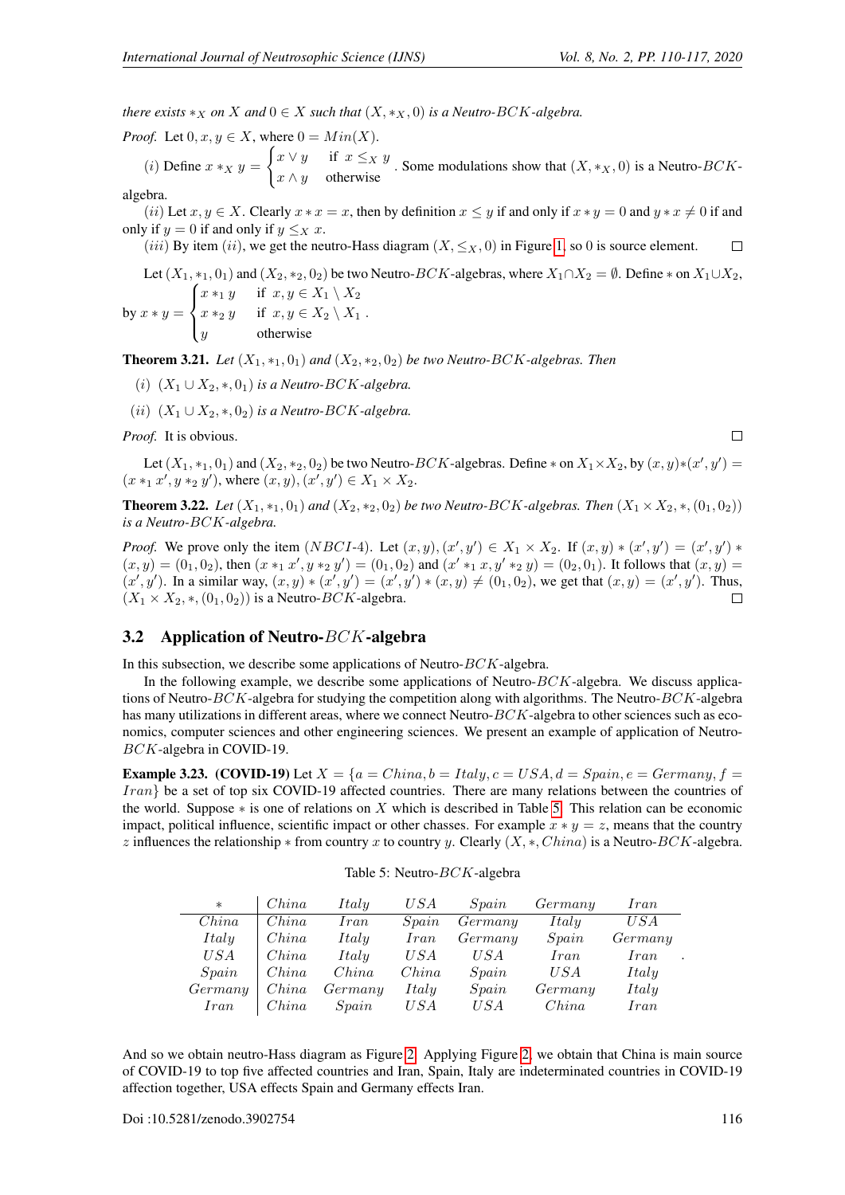*there exists*  $*_X$  *on* X *and*  $0 \in X$  *such that*  $(X, *_X, 0)$  *is a Neutro-BCK-algebra.* 

*Proof.* Let  $0, x, y \in X$ , where  $0 = Mi$  $\int x \vee y$  if  $x \leq_X y$ 

(*i*) Define  $x *_{X} y =$  $x \wedge y$  otherwise<br> $x \wedge y$  otherwise

algebra.

(ii) Let  $x, y \in X$ . Clearly  $x * x = x$ , then by definition  $x \leq y$  if and only if  $x * y = 0$  and  $y * x \neq 0$  if and only if  $y = 0$  if and only if  $y \leq_X x$ .

(*iii*) By item (*ii*), we get the neutro-Hass diagram  $(X, \leq_X, 0)$  in Figure [1,](#page-5-1) so 0 is source element.  $\Box$ 

Let  $(X_1, *_1, 0_1)$  and  $(X_2, *_2, 0_2)$  be two Neutro- $BCK$ -algebras, where  $X_1 \cap X_2 = \emptyset$ . Define  $*$  on  $X_1 \cup X_2$ , by  $x * y =$  $\sqrt{ }$  $\int$  $\overline{\mathcal{L}}$  $x *_{1} y$  if  $x, y \in X_{1} \setminus X_{2}$  $x *_{2} y$  if  $x, y \in X_{2} \setminus X_{1}$  $y$  otherwise .

**Theorem 3.21.** *Let*  $(X_1, *_1, 0_1)$  *and*  $(X_2, *_2, 0_2)$  *be two Neutro-BCK-algebras. Then* 

- (*i*)  $(X_1 \cup X_2, \ast, 0_1)$  *is a Neutro-BCK-algebra.*
- (*ii*)  $(X_1 \cup X_2, \ast, 0_2)$  *is a Neutro-BCK-algebra.*

*Proof.* It is obvious.

Let  $(X_1, *_1, 0_1)$  and  $(X_2, *_2, 0_2)$  be two Neutro- $BCK$ -algebras. Define  $*$  on  $X_1 \times X_2$ , by  $(x, y)*(x', y') =$  $(x *_{1} x', y *_{2} y')$ , where  $(x, y), (x', y') \in X_{1} \times X_{2}$ .

**Theorem 3.22.** *Let*  $(X_1, *_1, 0_1)$  *and*  $(X_2, *_2, 0_2)$  *be two Neutro-BCK-algebras. Then*  $(X_1 \times X_2, *, (0_1, 0_2))$ *is a Neutro-*BCK*-algebra.*

*Proof.* We prove only the item  $(NBCI-4)$ . Let  $(x, y), (x', y') \in X_1 \times X_2$ . If  $(x, y) * (x', y') = (x', y') * (x', y')$  $(x, y) = (0_1, 0_2)$ , then  $(x *_{1} x', y *_{2} y') = (0_1, 0_2)$  and  $(x' *_{1} x, y' *_{2} y) = (0_2, 0_1)$ . It follows that  $(x, y) = (0_2, 0_1)$  $(x', y')$ . In a similar way,  $(x, y) * (x', y') = (x', y') * (x, y) \neq (0_1, 0_2)$ , we get that  $(x, y) = (x', y')$ . Thus,  $(X_1 \times X_2, \ast, (0_1, 0_2))$  is a Neutro-BCK-algebra.  $\Box$ 

#### 3.2 Application of Neutro- $BCK$ -algebra

In this subsection, we describe some applications of Neutro-BCK-algebra.

In the following example, we describe some applications of Neutro- $BCK$ -algebra. We discuss applications of Neutro-BCK-algebra for studying the competition along with algorithms. The Neutro-BCK-algebra has many utilizations in different areas, where we connect Neutro-BCK-algebra to other sciences such as eco-nomics, computer sciences and other engineering sciences. We present an example of application of Neutro-BCK-algebra in COVID-19.

**Example 3.23.** (COVID-19) Let  $X = \{a = China, b = Italy, c = USA, d = Spain, e = Germany, f =$ Iran} be a set of top six COVID-19 affected countries. There are many relations between the countries of the world. Suppose  $*$  is one of relations on X which is described in Table [5.](#page-6-0) This relation can be economic impact, political influence, scientific impact or other chasses. For example  $x * y = z$ , means that the country z influences the relationship  $*$  from country x to country y. Clearly  $(X, *, China)$  is a Neutro-BCK-algebra.

<span id="page-6-0"></span>

| $\ast$      | China | Italy   | USA   | Spain     | Germany | Iran        |
|-------------|-------|---------|-------|-----------|---------|-------------|
| China       | China | Iran    | Spain | Germany   | Italy   | U S A       |
| Italy       | China | Italy   | Iran  | Germany   | Spain   | Germany     |
| USA         | China | Italy   | USA   | USA       | Iran    | <i>Iran</i> |
| Spain       | China | China   | China | Spain     | U S A   | Italy       |
| Germany     | China | Germany | Italy | $S\gamma$ | Germany | Italy       |
| <i>Iran</i> | China | Spain   | USA   | U S A     | China   | <i>Iran</i> |

Table 5: Neutro-BCK-algebra

And so we obtain neutro-Hass diagram as Figure [2.](#page-7-2) Applying Figure [2,](#page-7-2) we obtain that China is main source of COVID-19 to top five affected countries and Iran, Spain, Italy are indeterminated countries in COVID-19 affection together, USA effects Spain and Germany effects Iran.

 $\Box$